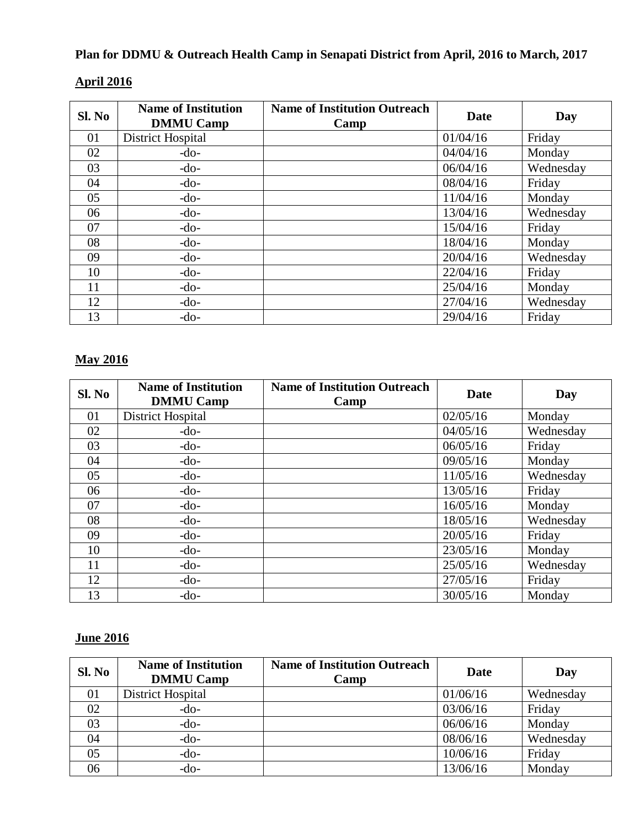# **Plan for DDMU & Outreach Health Camp in Senapati District from April, 2016 to March, 2017**

| SI. No | <b>Name of Institution</b><br><b>DMMU Camp</b> | <b>Name of Institution Outreach</b><br>Camp | Date     | Day       |
|--------|------------------------------------------------|---------------------------------------------|----------|-----------|
| 01     | District Hospital                              |                                             | 01/04/16 | Friday    |
| 02     | $-do-$                                         |                                             | 04/04/16 | Monday    |
| 03     | $-do-$                                         |                                             | 06/04/16 | Wednesday |
| 04     | $-do-$                                         |                                             | 08/04/16 | Friday    |
| 05     | $-do-$                                         |                                             | 11/04/16 | Monday    |
| 06     | $-do-$                                         |                                             | 13/04/16 | Wednesday |
| 07     | $-do-$                                         |                                             | 15/04/16 | Friday    |
| 08     | $-do-$                                         |                                             | 18/04/16 | Monday    |
| 09     | $-do-$                                         |                                             | 20/04/16 | Wednesday |
| 10     | $-do-$                                         |                                             | 22/04/16 | Friday    |
| 11     | $-do-$                                         |                                             | 25/04/16 | Monday    |
| 12     | $-do-$                                         |                                             | 27/04/16 | Wednesday |
| 13     | $-do-$                                         |                                             | 29/04/16 | Friday    |

#### **April 2016**

# **May 2016**

| SI. No | <b>Name of Institution</b><br><b>DMMU Camp</b> | <b>Name of Institution Outreach</b><br>Camp | <b>Date</b> | Day       |
|--------|------------------------------------------------|---------------------------------------------|-------------|-----------|
| 01     | District Hospital                              |                                             | 02/05/16    | Monday    |
| 02     | $-do-$                                         |                                             | 04/05/16    | Wednesday |
| 03     | $-do-$                                         |                                             | 06/05/16    | Friday    |
| 04     | $-do-$                                         |                                             | 09/05/16    | Monday    |
| 05     | $-do-$                                         |                                             | 11/05/16    | Wednesday |
| 06     | $-do-$                                         |                                             | 13/05/16    | Friday    |
| 07     | $-do-$                                         |                                             | 16/05/16    | Monday    |
| 08     | $-do-$                                         |                                             | 18/05/16    | Wednesday |
| 09     | $-do-$                                         |                                             | 20/05/16    | Friday    |
| 10     | $-do-$                                         |                                             | 23/05/16    | Monday    |
| 11     | $-do-$                                         |                                             | 25/05/16    | Wednesday |
| 12     | $-do-$                                         |                                             | 27/05/16    | Friday    |
| 13     | $-do-$                                         |                                             | 30/05/16    | Monday    |

### **June 2016**

| SI. No | <b>Name of Institution</b><br><b>DMMU Camp</b> | <b>Name of Institution Outreach</b><br>Camp | <b>Date</b> | Day       |
|--------|------------------------------------------------|---------------------------------------------|-------------|-----------|
| 01     | District Hospital                              |                                             | 01/06/16    | Wednesday |
| 02     | $-do-$                                         |                                             | 03/06/16    | Friday    |
| 03     | $-do-$                                         |                                             | 06/06/16    | Monday    |
| 04     | $-do-$                                         |                                             | 08/06/16    | Wednesday |
| 05     | $-do-$                                         |                                             | 10/06/16    | Friday    |
| 06     | $-do-$                                         |                                             | 13/06/16    | Monday    |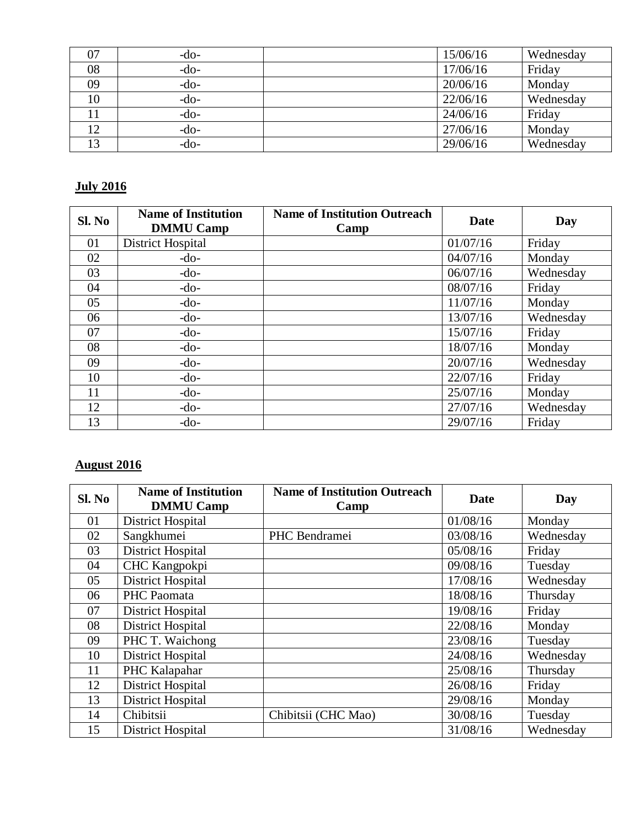| 07 | $-do-$ | 15/06/16 | Wednesday |
|----|--------|----------|-----------|
| 08 | $-do-$ | 17/06/16 | Friday    |
| 09 | $-do-$ | 20/06/16 | Monday    |
| 10 | $-do-$ | 22/06/16 | Wednesday |
|    | $-do-$ | 24/06/16 | Friday    |
| 12 | $-do-$ | 27/06/16 | Monday    |
| 13 | -do-   | 29/06/16 | Wednesday |

# **July 2016**

| Sl. No | <b>Name of Institution</b><br><b>DMMU Camp</b> | <b>Name of Institution Outreach</b><br>Camp | Date     | Day       |
|--------|------------------------------------------------|---------------------------------------------|----------|-----------|
| 01     | District Hospital                              |                                             | 01/07/16 | Friday    |
| 02     | $-do-$                                         |                                             | 04/07/16 | Monday    |
| 03     | $-do-$                                         |                                             | 06/07/16 | Wednesday |
| 04     | $-do-$                                         |                                             | 08/07/16 | Friday    |
| 05     | $-do-$                                         |                                             | 11/07/16 | Monday    |
| 06     | $-do-$                                         |                                             | 13/07/16 | Wednesday |
| 07     | $-do-$                                         |                                             | 15/07/16 | Friday    |
| 08     | $-do-$                                         |                                             | 18/07/16 | Monday    |
| 09     | $-do-$                                         |                                             | 20/07/16 | Wednesday |
| 10     | $-do-$                                         |                                             | 22/07/16 | Friday    |
| 11     | $-do-$                                         |                                             | 25/07/16 | Monday    |
| 12     | $-do-$                                         |                                             | 27/07/16 | Wednesday |
| 13     | $-do-$                                         |                                             | 29/07/16 | Friday    |

#### **August 2016**

| SI. No | <b>Name of Institution</b><br><b>DMMU Camp</b> | <b>Name of Institution Outreach</b><br>Camp | Date     | Day       |
|--------|------------------------------------------------|---------------------------------------------|----------|-----------|
| 01     | <b>District Hospital</b>                       |                                             | 01/08/16 | Monday    |
| 02     | Sangkhumei                                     | PHC Bendramei                               | 03/08/16 | Wednesday |
| 03     | District Hospital                              |                                             | 05/08/16 | Friday    |
| 04     | CHC Kangpokpi                                  |                                             | 09/08/16 | Tuesday   |
| 05     | <b>District Hospital</b>                       |                                             | 17/08/16 | Wednesday |
| 06     | PHC Paomata                                    |                                             | 18/08/16 | Thursday  |
| 07     | District Hospital                              |                                             | 19/08/16 | Friday    |
| 08     | <b>District Hospital</b>                       |                                             | 22/08/16 | Monday    |
| 09     | PHC T. Waichong                                |                                             | 23/08/16 | Tuesday   |
| 10     | <b>District Hospital</b>                       |                                             | 24/08/16 | Wednesday |
| 11     | PHC Kalapahar                                  |                                             | 25/08/16 | Thursday  |
| 12     | District Hospital                              |                                             | 26/08/16 | Friday    |
| 13     | <b>District Hospital</b>                       |                                             | 29/08/16 | Monday    |
| 14     | Chibitsii                                      | Chibitsii (CHC Mao)                         | 30/08/16 | Tuesday   |
| 15     | District Hospital                              |                                             | 31/08/16 | Wednesday |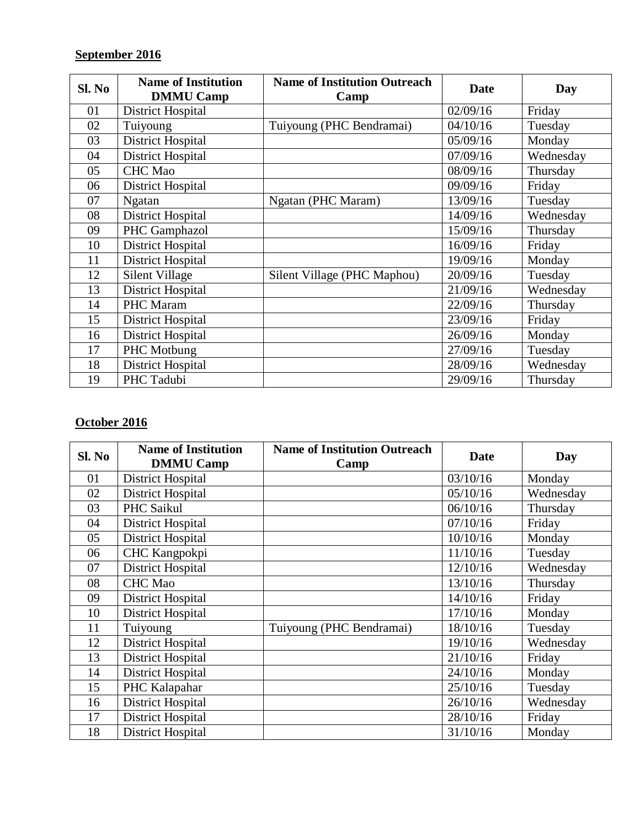### **September 2016**

| Sl. No | <b>Name of Institution</b><br><b>DMMU Camp</b> | <b>Name of Institution Outreach</b><br>Camp | <b>Date</b> | Day       |
|--------|------------------------------------------------|---------------------------------------------|-------------|-----------|
| 01     | <b>District Hospital</b>                       |                                             | 02/09/16    | Friday    |
| 02     | Tuiyoung                                       | Tuiyoung (PHC Bendramai)                    | 04/10/16    | Tuesday   |
| 03     | <b>District Hospital</b>                       |                                             | 05/09/16    | Monday    |
| 04     | <b>District Hospital</b>                       |                                             | 07/09/16    | Wednesday |
| 05     | <b>CHC</b> Mao                                 |                                             | 08/09/16    | Thursday  |
| 06     | <b>District Hospital</b>                       |                                             | 09/09/16    | Friday    |
| 07     | <b>Ngatan</b>                                  | Ngatan (PHC Maram)                          | 13/09/16    | Tuesday   |
| 08     | <b>District Hospital</b>                       |                                             | 14/09/16    | Wednesday |
| 09     | PHC Gamphazol                                  |                                             | 15/09/16    | Thursday  |
| 10     | <b>District Hospital</b>                       |                                             | 16/09/16    | Friday    |
| 11     | <b>District Hospital</b>                       |                                             | 19/09/16    | Monday    |
| 12     | Silent Village                                 | Silent Village (PHC Maphou)                 | 20/09/16    | Tuesday   |
| 13     | <b>District Hospital</b>                       |                                             | 21/09/16    | Wednesday |
| 14     | PHC Maram                                      |                                             | 22/09/16    | Thursday  |
| 15     | <b>District Hospital</b>                       |                                             | 23/09/16    | Friday    |
| 16     | <b>District Hospital</b>                       |                                             | 26/09/16    | Monday    |
| 17     | PHC Motbung                                    |                                             | 27/09/16    | Tuesday   |
| 18     | <b>District Hospital</b>                       |                                             | 28/09/16    | Wednesday |
| 19     | PHC Tadubi                                     |                                             | 29/09/16    | Thursday  |

### **October 2016**

| Sl. No | <b>Name of Institution</b> | <b>Name of Institution Outreach</b> | <b>Date</b> |           |
|--------|----------------------------|-------------------------------------|-------------|-----------|
|        | <b>DMMU Camp</b>           | Camp                                |             | Day       |
| 01     | <b>District Hospital</b>   |                                     | 03/10/16    | Monday    |
| 02     | <b>District Hospital</b>   |                                     | 05/10/16    | Wednesday |
| 03     | PHC Saikul                 |                                     | 06/10/16    | Thursday  |
| 04     | <b>District Hospital</b>   |                                     | 07/10/16    | Friday    |
| 05     | <b>District Hospital</b>   |                                     | 10/10/16    | Monday    |
| 06     | CHC Kangpokpi              |                                     | 11/10/16    | Tuesday   |
| 07     | <b>District Hospital</b>   |                                     | 12/10/16    | Wednesday |
| 08     | <b>CHC</b> Mao             |                                     | 13/10/16    | Thursday  |
| 09     | <b>District Hospital</b>   |                                     | 14/10/16    | Friday    |
| 10     | <b>District Hospital</b>   |                                     | 17/10/16    | Monday    |
| 11     | Tuiyoung                   | Tuiyoung (PHC Bendramai)            | 18/10/16    | Tuesday   |
| 12     | <b>District Hospital</b>   |                                     | 19/10/16    | Wednesday |
| 13     | <b>District Hospital</b>   |                                     | 21/10/16    | Friday    |
| 14     | <b>District Hospital</b>   |                                     | 24/10/16    | Monday    |
| 15     | PHC Kalapahar              |                                     | 25/10/16    | Tuesday   |
| 16     | <b>District Hospital</b>   |                                     | 26/10/16    | Wednesday |
| 17     | <b>District Hospital</b>   |                                     | 28/10/16    | Friday    |
| 18     | <b>District Hospital</b>   |                                     | 31/10/16    | Monday    |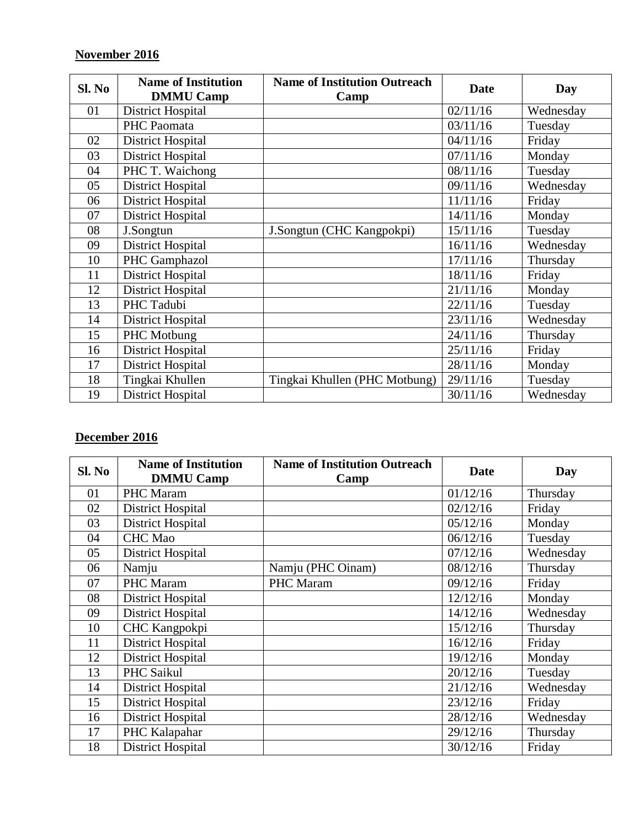### **November 2016**

| SI. No | <b>Name of Institution</b><br><b>DMMU Camp</b> | <b>Name of Institution Outreach</b><br>Camp | <b>Date</b> | Day       |
|--------|------------------------------------------------|---------------------------------------------|-------------|-----------|
| 01     | <b>District Hospital</b>                       |                                             | 02/11/16    | Wednesday |
|        | PHC Paomata                                    |                                             | 03/11/16    | Tuesday   |
| 02     | <b>District Hospital</b>                       |                                             | 04/11/16    | Friday    |
| 03     | <b>District Hospital</b>                       |                                             | 07/11/16    | Monday    |
| 04     | PHC T. Waichong                                |                                             | 08/11/16    | Tuesday   |
| 05     | <b>District Hospital</b>                       |                                             | 09/11/16    | Wednesday |
| 06     | <b>District Hospital</b>                       |                                             | 11/11/16    | Friday    |
| 07     | <b>District Hospital</b>                       |                                             | 14/11/16    | Monday    |
| 08     | J.Songtun                                      | J.Songtun (CHC Kangpokpi)                   | 15/11/16    | Tuesday   |
| 09     | <b>District Hospital</b>                       |                                             | 16/11/16    | Wednesday |
| 10     | PHC Gamphazol                                  |                                             | 17/11/16    | Thursday  |
| 11     | <b>District Hospital</b>                       |                                             | 18/11/16    | Friday    |
| 12     | <b>District Hospital</b>                       |                                             | 21/11/16    | Monday    |
| 13     | PHC Tadubi                                     |                                             | 22/11/16    | Tuesday   |
| 14     | <b>District Hospital</b>                       |                                             | 23/11/16    | Wednesday |
| 15     | PHC Motbung                                    |                                             | 24/11/16    | Thursday  |
| 16     | <b>District Hospital</b>                       |                                             | 25/11/16    | Friday    |
| 17     | <b>District Hospital</b>                       |                                             | 28/11/16    | Monday    |
| 18     | Tingkai Khullen                                | Tingkai Khullen (PHC Motbung)               | 29/11/16    | Tuesday   |
| 19     | <b>District Hospital</b>                       |                                             | 30/11/16    | Wednesday |

### **December 2016**

| Sl. No | <b>Name of Institution</b> | <b>Name of Institution Outreach</b> | <b>Date</b> | Day       |
|--------|----------------------------|-------------------------------------|-------------|-----------|
|        | <b>DMMU Camp</b>           | Camp                                |             |           |
| 01     | <b>PHC</b> Maram           |                                     | 01/12/16    | Thursday  |
| 02     | <b>District Hospital</b>   |                                     | 02/12/16    | Friday    |
| 03     | <b>District Hospital</b>   |                                     | 05/12/16    | Monday    |
| 04     | <b>CHC</b> Mao             |                                     | 06/12/16    | Tuesday   |
| 05     | <b>District Hospital</b>   |                                     | 07/12/16    | Wednesday |
| 06     | Namju                      | Namju (PHC Oinam)                   | 08/12/16    | Thursday  |
| 07     | PHC Maram                  | PHC Maram                           | 09/12/16    | Friday    |
| 08     | <b>District Hospital</b>   |                                     | 12/12/16    | Monday    |
| 09     | <b>District Hospital</b>   |                                     | 14/12/16    | Wednesday |
| 10     | CHC Kangpokpi              |                                     | 15/12/16    | Thursday  |
| 11     | <b>District Hospital</b>   |                                     | 16/12/16    | Friday    |
| 12     | <b>District Hospital</b>   |                                     | 19/12/16    | Monday    |
| 13     | PHC Saikul                 |                                     | 20/12/16    | Tuesday   |
| 14     | <b>District Hospital</b>   |                                     | 21/12/16    | Wednesday |
| 15     | <b>District Hospital</b>   |                                     | 23/12/16    | Friday    |
| 16     | <b>District Hospital</b>   |                                     | 28/12/16    | Wednesday |
| 17     | PHC Kalapahar              |                                     | 29/12/16    | Thursday  |
| 18     | <b>District Hospital</b>   |                                     | 30/12/16    | Friday    |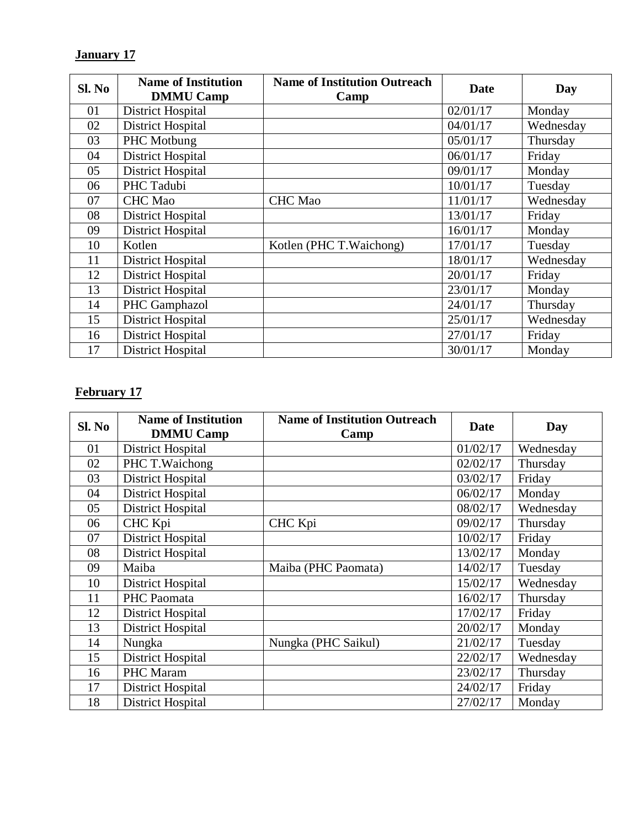# **January 17**

| SI. No | <b>Name of Institution</b><br><b>DMMU Camp</b> | <b>Name of Institution Outreach</b><br>Camp | <b>Date</b> | Day       |
|--------|------------------------------------------------|---------------------------------------------|-------------|-----------|
| 01     | <b>District Hospital</b>                       |                                             | 02/01/17    | Monday    |
| 02     | <b>District Hospital</b>                       |                                             | 04/01/17    | Wednesday |
| 03     | PHC Motbung                                    |                                             | 05/01/17    | Thursday  |
| 04     | District Hospital                              |                                             | 06/01/17    | Friday    |
| 05     | <b>District Hospital</b>                       |                                             | 09/01/17    | Monday    |
| 06     | PHC Tadubi                                     |                                             | 10/01/17    | Tuesday   |
| 07     | <b>CHC</b> Mao                                 | <b>CHC</b> Mao                              | 11/01/17    | Wednesday |
| 08     | <b>District Hospital</b>                       |                                             | 13/01/17    | Friday    |
| 09     | <b>District Hospital</b>                       |                                             | 16/01/17    | Monday    |
| 10     | Kotlen                                         | Kotlen (PHC T. Waichong)                    | 17/01/17    | Tuesday   |
| 11     | <b>District Hospital</b>                       |                                             | 18/01/17    | Wednesday |
| 12     | <b>District Hospital</b>                       |                                             | 20/01/17    | Friday    |
| 13     | <b>District Hospital</b>                       |                                             | 23/01/17    | Monday    |
| 14     | PHC Gamphazol                                  |                                             | 24/01/17    | Thursday  |
| 15     | <b>District Hospital</b>                       |                                             | 25/01/17    | Wednesday |
| 16     | <b>District Hospital</b>                       |                                             | 27/01/17    | Friday    |
| 17     | <b>District Hospital</b>                       |                                             | 30/01/17    | Monday    |

### **February 17**

| Sl. No | <b>Name of Institution</b><br><b>DMMU Camp</b> | <b>Name of Institution Outreach</b><br>Camp | Date     | Day       |
|--------|------------------------------------------------|---------------------------------------------|----------|-----------|
| 01     | <b>District Hospital</b>                       |                                             | 01/02/17 | Wednesday |
| 02     | PHC T. Waichong                                |                                             | 02/02/17 | Thursday  |
| 03     | <b>District Hospital</b>                       |                                             | 03/02/17 | Friday    |
| 04     | <b>District Hospital</b>                       |                                             | 06/02/17 | Monday    |
| 05     | <b>District Hospital</b>                       |                                             | 08/02/17 | Wednesday |
| 06     | CHC Kpi                                        | CHC Kpi                                     | 09/02/17 | Thursday  |
| 07     | <b>District Hospital</b>                       |                                             | 10/02/17 | Friday    |
| 08     | <b>District Hospital</b>                       |                                             | 13/02/17 | Monday    |
| 09     | Maiba                                          | Maiba (PHC Paomata)                         | 14/02/17 | Tuesday   |
| 10     | <b>District Hospital</b>                       |                                             | 15/02/17 | Wednesday |
| 11     | PHC Paomata                                    |                                             | 16/02/17 | Thursday  |
| 12     | <b>District Hospital</b>                       |                                             | 17/02/17 | Friday    |
| 13     | <b>District Hospital</b>                       |                                             | 20/02/17 | Monday    |
| 14     | Nungka                                         | Nungka (PHC Saikul)                         | 21/02/17 | Tuesday   |
| 15     | <b>District Hospital</b>                       |                                             | 22/02/17 | Wednesday |
| 16     | PHC Maram                                      |                                             | 23/02/17 | Thursday  |
| 17     | <b>District Hospital</b>                       |                                             | 24/02/17 | Friday    |
| 18     | <b>District Hospital</b>                       |                                             | 27/02/17 | Monday    |